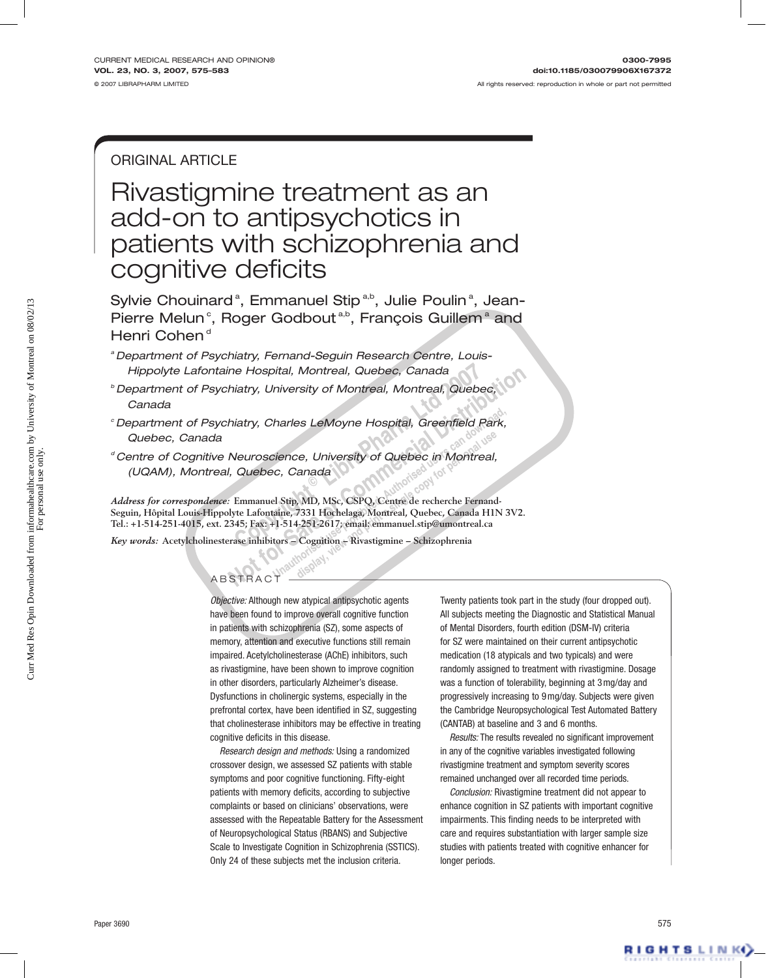ORIGINAL ARTICLE

# Rivastigmine treatment as an add-on to antipsychotics in patients with schizophrenia and cognitive deficits

Sylvie Chouinard<sup>a</sup>, Emmanuel Stip<sup>a,b</sup>, Julie Poulin<sup>a</sup>, Jean-Pierre Melun<sup>e</sup>, Roger Godbout<sup>a,b</sup>, François Guillem<sup>a</sup> and Henri Cohen<sup>d</sup>

*<sup>a</sup> Department of Psychiatry, Fernand-Seguin Research Centre, Louis-Hippolyte Lafontaine Hospital, Montreal, Quebec, Canada*

- *<sup>b</sup> Department of Psychiatry, University of Montreal, Montreal, Quebec, Canada*
- *<sup>c</sup> Department of Psychiatry, Charles LeMoyne Hospital, Greenfield Park, Quebec, Canada*
- *<sup>d</sup> Centre of Cognitive Neuroscience, University of Quebec in Montreal, (UQAM), Montreal, Quebec, Canada*

*Address for correspondence:* **Emmanuel Stip, MD, MSc, CSPQ, Centre de recherche Fernand-Seguin, Hôpital Louis-Hippolyte Lafontaine, 7331 Hochelaga, Montreal, Quebec, Canada H1N 3V2. Tel.: +1‑514‑251‑4015, ext. 2345; Fax: +1‑514‑251‑2617; email: emmanuel.stip@umontreal.ca**

*Key words:* **Acetylcholinesterase inhibitors – Cognition – Rivastigmine – Schizophrenia**

# ABSTRACH CHANGE

*Objective:* Although new atypical antipsychotic agents have been found to improve overall cognitive function in patients with schizophrenia (SZ), some aspects of memory, attention and executive functions still remain impaired. Acetylcholinesterase (AChE) inhibitors, such as rivastigmine, have been shown to improve cognition in other disorders, particularly Alzheimer's disease. Dysfunctions in cholinergic systems, especially in the prefrontal cortex, have been identified in SZ, suggesting that cholinesterase inhibitors may be effective in treating cognitive deficits in this disease.

*Research design and methods:* Using a randomized crossover design, we assessed SZ patients with stable symptoms and poor cognitive functioning. Fifty-eight patients with memory deficits, according to subjective complaints or based on clinicians' observations, were assessed with the Repeatable Battery for the Assessment of Neuropsychological Status (RBANS) and Subjective Scale to Investigate Cognition in Schizophrenia (SSTICS). Only 24 of these subjects met the inclusion criteria.

Twenty patients took part in the study (four dropped out). All subjects meeting the Diagnostic and Statistical Manual of Mental Disorders, fourth edition (DSM-IV) criteria for SZ were maintained on their current antipsychotic medication (18 atypicals and two typicals) and were randomly assigned to treatment with rivastigmine. Dosage was a function of tolerability, beginning at 3mg/day and progressively increasing to 9mg/day. Subjects were given the Cambridge Neuropsychological Test Automated Battery (CANTAB) at baseline and 3 and 6 months.

*Results:* The results revealed no significant improvement in any of the cognitive variables investigated following rivastigmine treatment and symptom severity scores remained unchanged over all recorded time periods.

*Conclusion:* Rivastigmine treatment did not appear to enhance cognition in SZ patients with important cognitive impairments. This finding needs to be interpreted with care and requires substantiation with larger sample size studies with patients treated with cognitive enhancer for longer periods.

Curr Med Res Opin Downloaded from informahealthcare.com by University of Montreal on 08/02/13 Curr Med Res Opin Downloaded from informahealthcare.com by University of Montreal on 08/02/13 For personal use only.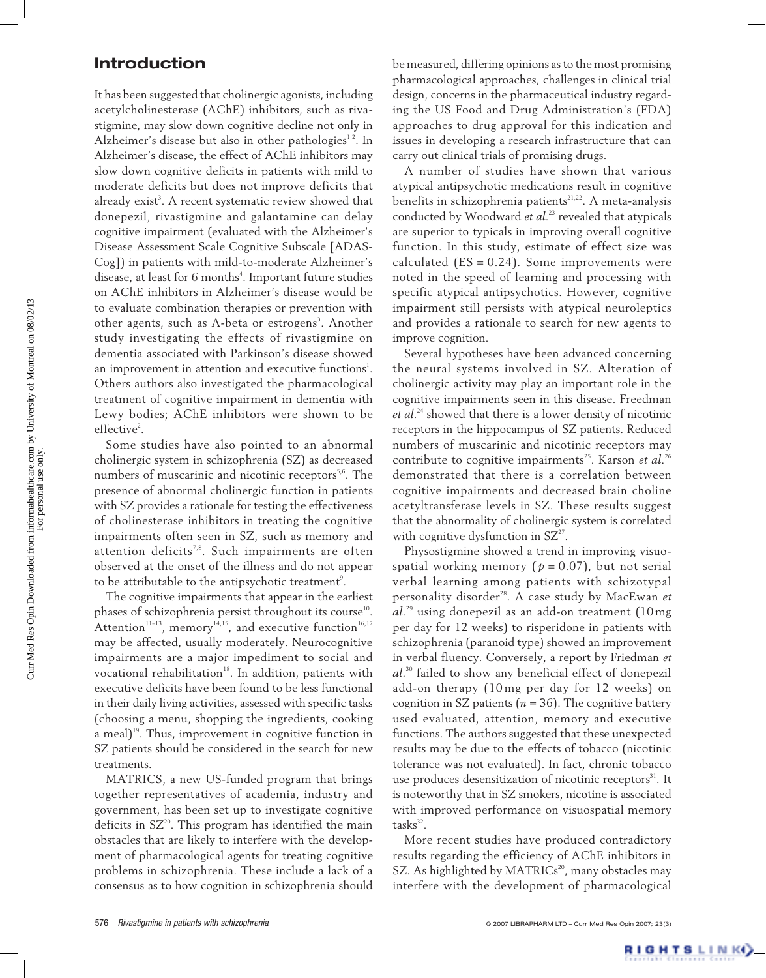# Introduction

It has been suggested that cholinergic agonists, including acetylcholinesterase (AChE) inhibitors, such as rivastigmine, may slow down cognitive decline not only in Alzheimer's disease but also in other pathologies<sup>1,2</sup>. In Alzheimer's disease, the effect of AChE inhibitors may slow down cognitive deficits in patients with mild to moderate deficits but does not improve deficits that already exist<sup>3</sup>. A recent systematic review showed that donepezil, rivastigmine and galantamine can delay cognitive impairment (evaluated with the Alzheimer's Disease Assessment Scale Cognitive Subscale [ADAS-Cog]) in patients with mild-to-moderate Alzheimer's disease, at least for 6 months<sup>4</sup>. Important future studies on AChE inhibitors in Alzheimer's disease would be to evaluate combination therapies or prevention with other agents, such as A-beta or estrogens<sup>3</sup>. Another study investigating the effects of rivastigmine on dementia associated with Parkinson's disease showed an improvement in attention and executive functions<sup>1</sup>. Others authors also investigated the pharmacological treatment of cognitive impairment in dementia with Lewy bodies; AChE inhibitors were shown to be effective<sup>2</sup>.

Some studies have also pointed to an abnormal cholinergic system in schizophrenia (SZ) as decreased numbers of muscarinic and nicotinic receptors<sup>5,6</sup>. The presence of abnormal cholinergic function in patients with SZ provides a rationale for testing the effectiveness of cholinesterase inhibitors in treating the cognitive impairments often seen in SZ, such as memory and attention deficits<sup>7,8</sup>. Such impairments are often observed at the onset of the illness and do not appear to be attributable to the antipsychotic treatment $^{\circ}$ .

The cognitive impairments that appear in the earliest phases of schizophrenia persist throughout its course<sup>10</sup>. Attention<sup>11–13</sup>, memory<sup>14,15</sup>, and executive function<sup>16,17</sup> may be affected, usually moderately. Neurocognitive impairments are a major impediment to social and vocational rehabilitation<sup>18</sup>. In addition, patients with executive deficits have been found to be less functional in their daily living activities, assessed with specific tasks (choosing a menu, shopping the ingredients, cooking a meal)<sup>19</sup>. Thus, improvement in cognitive function in SZ patients should be considered in the search for new treatments.

MATRICS, a new US-funded program that brings together representatives of academia, industry and government, has been set up to investigate cognitive deficits in  $SZ^{20}$ . This program has identified the main obstacles that are likely to interfere with the development of pharmacological agents for treating cognitive problems in schizophrenia. These include a lack of a consensus as to how cognition in schizophrenia should be measured, differing opinions as to the most promising pharmacological approaches, challenges in clinical trial design, concerns in the pharmaceutical industry regarding the US Food and Drug Administration's (FDA) approaches to drug approval for this indication and issues in developing a research infrastructure that can carry out clinical trials of promising drugs.

A number of studies have shown that various atypical antipsychotic medications result in cognitive benefits in schizophrenia patients<sup>21,22</sup>. A meta-analysis conducted by Woodward *et al*. 23 revealed that atypicals are superior to typicals in improving overall cognitive function. In this study, estimate of effect size was calculated  $(ES = 0.24)$ . Some improvements were noted in the speed of learning and processing with specific atypical antipsychotics. However, cognitive impairment still persists with atypical neuroleptics and provides a rationale to search for new agents to improve cognition.

Several hypotheses have been advanced concerning the neural systems involved in SZ. Alteration of cholinergic activity may play an important role in the cognitive impairments seen in this disease. Freedman et al.<sup>24</sup> showed that there is a lower density of nicotinic receptors in the hippocampus of SZ patients. Reduced numbers of muscarinic and nicotinic receptors may contribute to cognitive impairments<sup>25</sup>. Karson *et al.*<sup>26</sup> demonstrated that there is a correlation between cognitive impairments and decreased brain choline acetyltransferase levels in SZ. These results suggest that the abnormality of cholinergic system is correlated with cognitive dysfunction in  $SZ^{27}$ .

Physostigmine showed a trend in improving visuospatial working memory ( $p = 0.07$ ), but not serial verbal learning among patients with schizotypal personality disorder<sup>28</sup>. A case study by MacEwan et *al*. 29 using donepezil as an add-on treatment (10 mg per day for 12 weeks) to risperidone in patients with schizophrenia (paranoid type) showed an improvement in verbal fluency. Conversely, a report by Friedman *et al*. 30 failed to show any beneficial effect of donepezil add-on therapy (10 mg per day for 12 weeks) on cognition in SZ patients  $(n = 36)$ . The cognitive battery used evaluated, attention, memory and executive functions. The authors suggested that these unexpected results may be due to the effects of tobacco (nicotinic tolerance was not evaluated). In fact, chronic tobacco use produces desensitization of nicotinic receptors<sup>31</sup>. It is noteworthy that in SZ smokers, nicotine is associated with improved performance on visuospatial memory  $tasks^{32}$ .

More recent studies have produced contradictory results regarding the efficiency of AChE inhibitors in SZ. As highlighted by  $MATRICs<sup>20</sup>$ , many obstacles may interfere with the development of pharmacological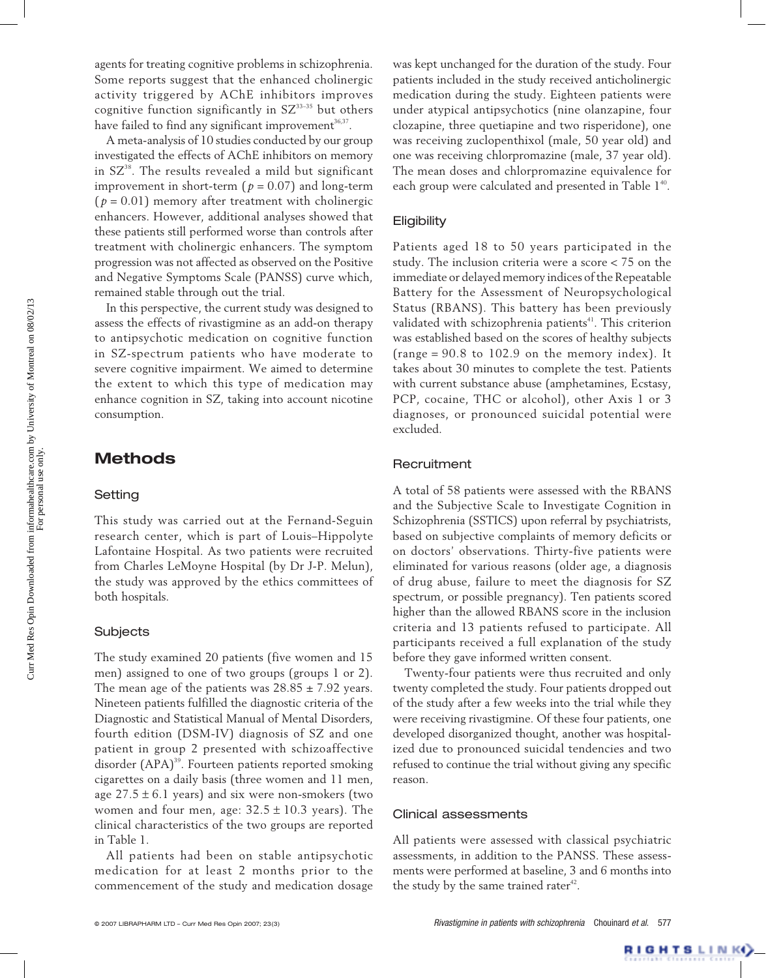agents for treating cognitive problems in schizophrenia. Some reports suggest that the enhanced cholinergic activity triggered by AChE inhibitors improves cognitive function significantly in  $SZ^{33-35}$  but others have failed to find any significant improvement<sup>36,37</sup>.

A meta-analysis of 10 studies conducted by our group investigated the effects of AChE inhibitors on memory in SZ<sup>38</sup>. The results revealed a mild but significant improvement in short-term ( $p = 0.07$ ) and long-term  $(p = 0.01)$  memory after treatment with cholinergic enhancers. However, additional analyses showed that these patients still performed worse than controls after treatment with cholinergic enhancers. The symptom progression was not affected as observed on the Positive and Negative Symptoms Scale (PANSS) curve which, remained stable through out the trial.

In this perspective, the current study was designed to assess the effects of rivastigmine as an add-on therapy to antipsychotic medication on cognitive function in SZ-spectrum patients who have moderate to severe cognitive impairment. We aimed to determine the extent to which this type of medication may enhance cognition in SZ, taking into account nicotine consumption.

# Methods

#### **Setting**

This study was carried out at the Fernand-Seguin research center, which is part of Louis–Hippolyte Lafontaine Hospital. As two patients were recruited from Charles LeMoyne Hospital (by Dr J-P. Melun), the study was approved by the ethics committees of both hospitals.

#### **Subjects**

The study examined 20 patients (five women and 15 men) assigned to one of two groups (groups 1 or 2). The mean age of the patients was  $28.85 \pm 7.92$  years. Nineteen patients fulfilled the diagnostic criteria of the Diagnostic and Statistical Manual of Mental Disorders, fourth edition (DSM-IV) diagnosis of SZ and one patient in group 2 presented with schizoaffective disorder (APA)<sup>39</sup>. Fourteen patients reported smoking cigarettes on a daily basis (three women and 11 men, age  $27.5 \pm 6.1$  years) and six were non-smokers (two women and four men, age:  $32.5 \pm 10.3$  years). The clinical characteristics of the two groups are reported in Table 1.

All patients had been on stable antipsychotic medication for at least 2 months prior to the commencement of the study and medication dosage was kept unchanged for the duration of the study. Four patients included in the study received anticholinergic medication during the study. Eighteen patients were under atypical antipsychotics (nine olanzapine, four clozapine, three quetiapine and two risperidone), one was receiving zuclopenthixol (male, 50 year old) and one was receiving chlorpromazine (male, 37 year old). The mean doses and chlorpromazine equivalence for each group were calculated and presented in Table  $1^{40}$ .

#### **Eligibility**

Patients aged 18 to 50 years participated in the study. The inclusion criteria were a score < 75 on the immediate or delayed memory indices of the Repeatable Battery for the Assessment of Neuropsychological Status (RBANS). This battery has been previously validated with schizophrenia patients<sup>41</sup>. This criterion was established based on the scores of healthy subjects (range  $= 90.8$  to 102.9 on the memory index). It takes about 30 minutes to complete the test. Patients with current substance abuse (amphetamines, Ecstasy, PCP, cocaine, THC or alcohol), other Axis 1 or 3 diagnoses, or pronounced suicidal potential were excluded.

#### **Recruitment**

A total of 58 patients were assessed with the RBANS and the Subjective Scale to Investigate Cognition in Schizophrenia (SSTICS) upon referral by psychiatrists, based on subjective complaints of memory deficits or on doctors' observations. Thirty-five patients were eliminated for various reasons (older age, a diagnosis of drug abuse, failure to meet the diagnosis for SZ spectrum, or possible pregnancy). Ten patients scored higher than the allowed RBANS score in the inclusion criteria and 13 patients refused to participate. All participants received a full explanation of the study before they gave informed written consent.

Twenty-four patients were thus recruited and only twenty completed the study. Four patients dropped out of the study after a few weeks into the trial while they were receiving rivastigmine. Of these four patients, one developed disorganized thought, another was hospitalized due to pronounced suicidal tendencies and two refused to continue the trial without giving any specific reason.

#### Clinical assessments

All patients were assessed with classical psychiatric assessments, in addition to the PANSS. These assessments were performed at baseline, 3 and 6 months into the study by the same trained rater<sup>42</sup>.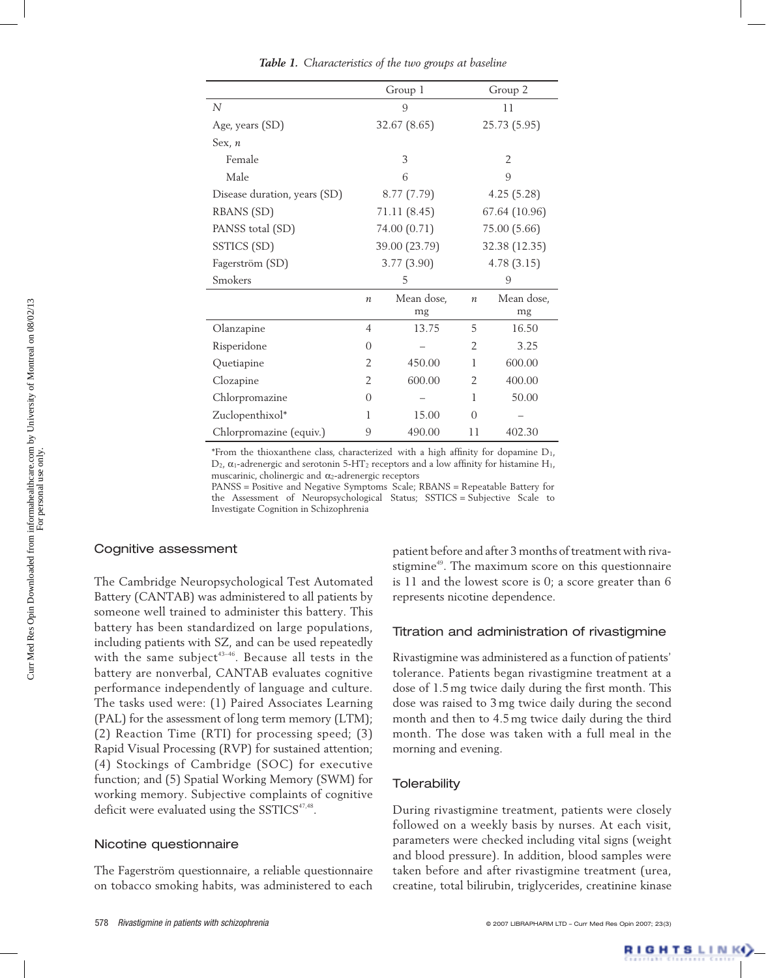|                              | Group 1             |                  | Group 2          |                  |
|------------------------------|---------------------|------------------|------------------|------------------|
| N                            | 9                   |                  |                  | 11               |
| Age, years (SD)              | 32.67 (8.65)        |                  |                  | 25.73 (5.95)     |
| Sex, $n$                     |                     |                  |                  |                  |
| Female                       | 3<br>$\overline{2}$ |                  |                  |                  |
| Male                         | 6                   |                  | 9                |                  |
| Disease duration, years (SD) |                     | 8.77 (7.79)      | 4.25(5.28)       |                  |
| <b>RBANS</b> (SD)            | 71.11 (8.45)        |                  | 67.64 (10.96)    |                  |
| PANSS total (SD)             | 74.00 (0.71)        |                  | 75.00 (5.66)     |                  |
| SSTICS (SD)                  | 39.00 (23.79)       |                  | 32.38 (12.35)    |                  |
| Fagerström (SD)              | 3.77(3.90)          |                  | 4.78(3.15)       |                  |
| Smokers                      | 5                   |                  | 9                |                  |
|                              | $\boldsymbol{n}$    | Mean dose.<br>mg | $\boldsymbol{n}$ | Mean dose,<br>mg |
| Olanzapine                   | $\overline{4}$      | 13.75            | 5                | 16.50            |
| Risperidone                  | $\Omega$            |                  | $\mathcal{P}$    | 3.25             |
| Quetiapine                   | $\overline{2}$      | 450.00           | 1                | 600.00           |
| Clozapine                    | 2                   | 600.00           | 2                | 400.00           |
| Chlorpromazine               | $\Omega$            |                  | 1                | 50.00            |
| Zuclopenthixol*              | 1                   | 15.00            | $\Omega$         |                  |
| Chlorpromazine (equiv.)      | 9                   | 490.00           | 11               | 402.30           |

*Table 1. Characteristics of the two groups at baseline*

\*From the thioxanthene class, characterized with a high affinity for dopamine  $D_1$ , D<sub>2</sub>,  $α$ <sub>1</sub>-adrenergic and serotonin 5-HT<sub>2</sub> receptors and a low affinity for histamine H<sub>1</sub>, muscarinic, cholinergic and  $\alpha_2$ -adrenergic receptors

PANSS = Positive and Negative Symptoms Scale; RBANS = Repeatable Battery for the Assessment of Neuropsychological Status; SSTICS = Subjective Scale to Investigate Cognition in Schizophrenia

#### Cognitive assessment

The Cambridge Neuropsychological Test Automated Battery (CANTAB) was administered to all patients by someone well trained to administer this battery. This battery has been standardized on large populations, including patients with SZ, and can be used repeatedly with the same subject<sup>43-46</sup>. Because all tests in the battery are nonverbal, CANTAB evaluates cognitive performance independently of language and culture. The tasks used were: (1) Paired Associates Learning (PAL) for the assessment of long term memory (LTM); (2) Reaction Time (RTI) for processing speed; (3) Rapid Visual Processing (RVP) for sustained attention; (4) Stockings of Cambridge (SOC) for executive function; and (5) Spatial Working Memory (SWM) for working memory. Subjective complaints of cognitive deficit were evaluated using the SSTICS<sup>47,48</sup>.

#### Nicotine questionnaire

The Fagerström questionnaire, a reliable questionnaire on tobacco smoking habits, was administered to each patient before and after 3 months of treatment with rivastigmine<sup>49</sup>. The maximum score on this questionnaire is 11 and the lowest score is 0; a score greater than 6 represents nicotine dependence.

#### Titration and administration of rivastigmine

Rivastigmine was administered as a function of patients' tolerance. Patients began rivastigmine treatment at a dose of 1.5mg twice daily during the first month. This dose was raised to 3mg twice daily during the second month and then to 4.5mg twice daily during the third month. The dose was taken with a full meal in the morning and evening.

#### **Tolerability**

During rivastigmine treatment, patients were closely followed on a weekly basis by nurses. At each visit, parameters were checked including vital signs (weight and blood pressure). In addition, blood samples were taken before and after rivastigmine treatment (urea, creatine, total bilirubin, triglycerides, creatinine kinase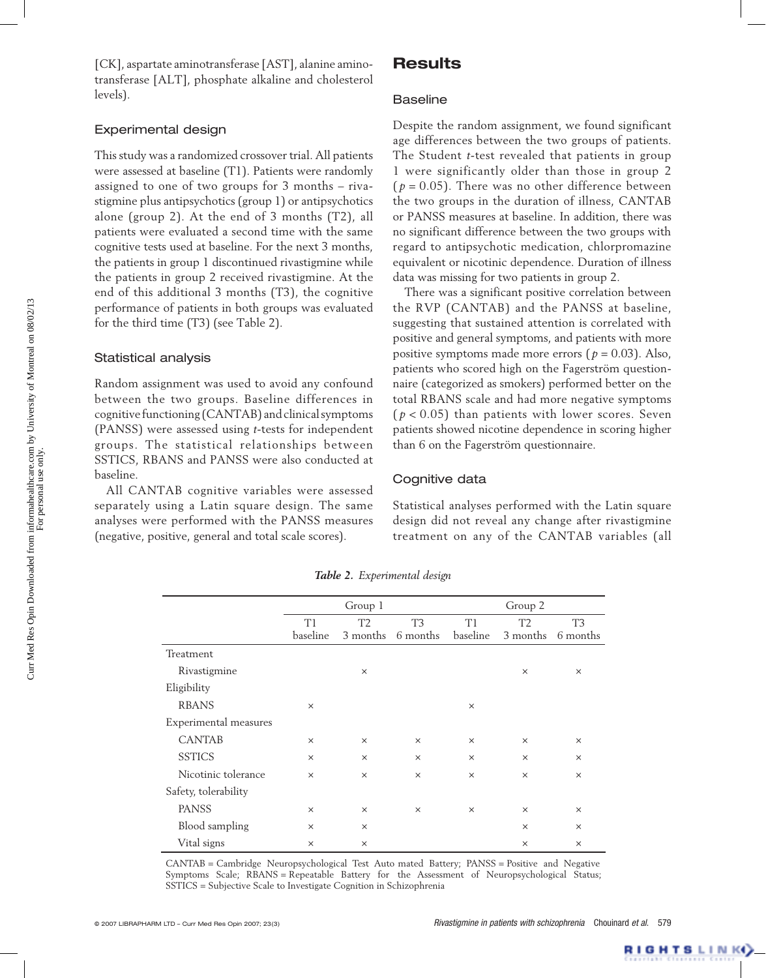[CK], aspartate aminotransferase [AST], alanine aminotransferase [ALT], phosphate alkaline and cholesterol levels).

#### Experimental design

This study was a randomized crossover trial. All patients were assessed at baseline (T1). Patients were randomly assigned to one of two groups for 3 months – rivastigmine plus antipsychotics (group 1) or antipsychotics alone (group 2). At the end of 3 months (T2), all patients were evaluated a second time with the same cognitive tests used at baseline. For the next 3 months, the patients in group 1 discontinued rivastigmine while the patients in group 2 received rivastigmine. At the end of this additional 3 months (T3), the cognitive performance of patients in both groups was evaluated for the third time (T3) (see Table 2).

#### Statistical analysis

Random assignment was used to avoid any confound between the two groups. Baseline differences in cognitive functioning (CANTAB) and clinical symptoms (PANSS) were assessed using *t*-tests for independent groups. The statistical relationships between SSTICS, RBANS and PANSS were also conducted at baseline.

All CANTAB cognitive variables were assessed separately using a Latin square design. The same analyses were performed with the PANSS measures (negative, positive, general and total scale scores).

# **Results**

#### **Baseline**

Despite the random assignment, we found significant age differences between the two groups of patients. The Student *t*-test revealed that patients in group 1 were significantly older than those in group 2 ( $p = 0.05$ ). There was no other difference between the two groups in the duration of illness, CANTAB or PANSS measures at baseline. In addition, there was no significant difference between the two groups with regard to antipsychotic medication, chlorpromazine equivalent or nicotinic dependence. Duration of illness data was missing for two patients in group 2.

There was a significant positive correlation between the RVP (CANTAB) and the PANSS at baseline, suggesting that sustained attention is correlated with positive and general symptoms, and patients with more positive symptoms made more errors ( $p = 0.03$ ). Also, patients who scored high on the Fagerström questionnaire (categorized as smokers) performed better on the total RBANS scale and had more negative symptoms ( $p < 0.05$ ) than patients with lower scores. Seven patients showed nicotine dependence in scoring higher than 6 on the Fagerström questionnaire.

#### Cognitive data

Statistical analyses performed with the Latin square design did not reveal any change after rivastigmine treatment on any of the CANTAB variables (all

|                       | Group 1        |                |                   | Group 2        |                |                |  |
|-----------------------|----------------|----------------|-------------------|----------------|----------------|----------------|--|
|                       | T <sub>1</sub> | T <sub>2</sub> | T <sub>3</sub>    | T <sub>1</sub> | T <sub>2</sub> | T <sub>3</sub> |  |
|                       | baseline       |                | 3 months 6 months | baseline       | 3 months       | 6 months       |  |
| Treatment             |                |                |                   |                |                |                |  |
| Rivastigmine          |                | $\times$       |                   |                | $\times$       | $\times$       |  |
| Eligibility           |                |                |                   |                |                |                |  |
| <b>RBANS</b>          | $\times$       |                |                   | $\times$       |                |                |  |
| Experimental measures |                |                |                   |                |                |                |  |
| <b>CANTAB</b>         | $\times$       | $\times$       | $\times$          | $\times$       | $\times$       | $\times$       |  |
| <b>SSTICS</b>         | $\times$       | $\times$       | $\times$          | $\times$       | $\times$       | $\times$       |  |
| Nicotinic tolerance   | $\times$       | $\times$       | $\times$          | $\times$       | $\times$       | $\times$       |  |
| Safety, tolerability  |                |                |                   |                |                |                |  |
| <b>PANSS</b>          | $\times$       | $\times$       | $\times$          | $\times$       | $\times$       | $\times$       |  |
| Blood sampling        | ×              | ×              |                   |                | $\times$       | $\times$       |  |
| Vital signs           | $\times$       | $\times$       |                   |                | $\times$       | $\times$       |  |

*Table 2. Experimental design*

CANTAB = Cambridge Neuropsychological Test Auto mated Battery; PANSS = Positive and Negative Symptoms Scale; RBANS = Repeatable Battery for the Assessment of Neuropsychological Status; SSTICS = Subjective Scale to Investigate Cognition in Schizophrenia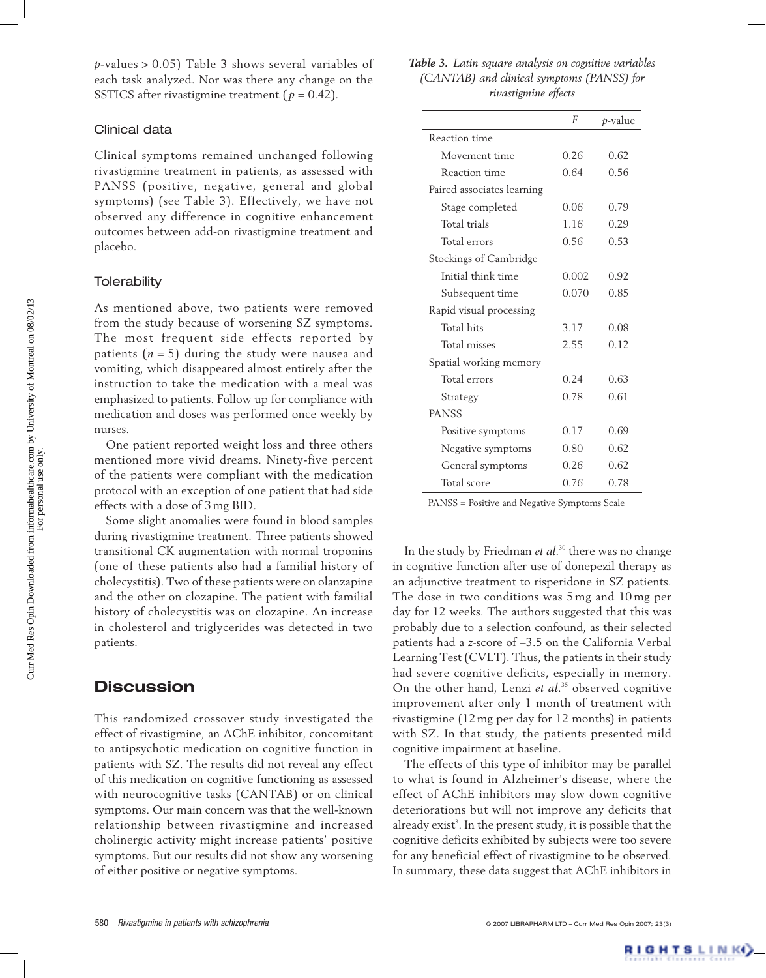*p*-values > 0.05) Table 3 shows several variables of each task analyzed. Nor was there any change on the SSTICS after rivastigmine treatment  $(p = 0.42)$ .

#### Clinical data

Clinical symptoms remained unchanged following rivastigmine treatment in patients, as assessed with PANSS (positive, negative, general and global symptoms) (see Table 3). Effectively, we have not observed any difference in cognitive enhancement outcomes between add-on rivastigmine treatment and placebo.

#### **Tolerability**

As mentioned above, two patients were removed from the study because of worsening SZ symptoms. The most frequent side effects reported by patients  $(n = 5)$  during the study were nausea and vomiting, which disappeared almost entirely after the instruction to take the medication with a meal was emphasized to patients. Follow up for compliance with medication and doses was performed once weekly by nurses.

One patient reported weight loss and three others mentioned more vivid dreams. Ninety-five percent of the patients were compliant with the medication protocol with an exception of one patient that had side effects with a dose of 3mg BID.

Some slight anomalies were found in blood samples during rivastigmine treatment. Three patients showed transitional CK augmentation with normal troponins (one of these patients also had a familial history of cholecystitis). Two of these patients were on olanzapine and the other on clozapine. The patient with familial history of cholecystitis was on clozapine. An increase in cholesterol and triglycerides was detected in two patients.

## **Discussion**

This randomized crossover study investigated the effect of rivastigmine, an AChE inhibitor, concomitant to antipsychotic medication on cognitive function in patients with SZ. The results did not reveal any effect of this medication on cognitive functioning as assessed with neurocognitive tasks (CANTAB) or on clinical symptoms. Our main concern was that the well-known relationship between rivastigmine and increased cholinergic activity might increase patients' positive symptoms. But our results did not show any worsening of either positive or negative symptoms.

*Table 3. Latin square analysis on cognitive variables (CANTAB) and clinical symptoms (PANSS) for rivastigmine effects*

|                            | F     | p-value |
|----------------------------|-------|---------|
| Reaction time              |       |         |
| Movement time              | 0.26  | 0.62    |
| Reaction time              | 0.64  | 0.56    |
| Paired associates learning |       |         |
| Stage completed            | 0.06  | 0.79    |
| Total trials               | 1.16  | 0.29    |
| Total errors               | 0.56  | 0.53    |
| Stockings of Cambridge     |       |         |
| Initial think time         | 0.002 | 0.92    |
| Subsequent time            | 0.070 | 0.85    |
| Rapid visual processing    |       |         |
| Total hits                 | 3.17  | 0.08    |
| Total misses               | 2.55  | 0.12    |
| Spatial working memory     |       |         |
| Total errors               | 0.24  | 0.63    |
| Strategy                   | 0.78  | 0.61    |
| <b>PANSS</b>               |       |         |
| Positive symptoms          | 0.17  | 0.69    |
| Negative symptoms          | 0.80  | 0.62    |
| General symptoms           | 0.26  | 0.62    |
| Total score                | 0.76  | 0.78    |

PANSS = Positive and Negative Symptoms Scale

In the study by Friedman *et al*. 30 there was no change in cognitive function after use of donepezil therapy as an adjunctive treatment to risperidone in SZ patients. The dose in two conditions was 5 mg and 10 mg per day for 12 weeks. The authors suggested that this was probably due to a selection confound, as their selected patients had a *z-*score of –3.5 on the California Verbal Learning Test (CVLT). Thus, the patients in their study had severe cognitive deficits, especially in memory. On the other hand, Lenzi *et al*. 35 observed cognitive improvement after only 1 month of treatment with rivastigmine (12mg per day for 12 months) in patients with SZ. In that study, the patients presented mild cognitive impairment at baseline.

The effects of this type of inhibitor may be parallel to what is found in Alzheimer's disease, where the effect of AChE inhibitors may slow down cognitive deteriorations but will not improve any deficits that already  $exist^3$ . In the present study, it is possible that the cognitive deficits exhibited by subjects were too severe for any beneficial effect of rivastigmine to be observed. In summary, these data suggest that AChE inhibitors in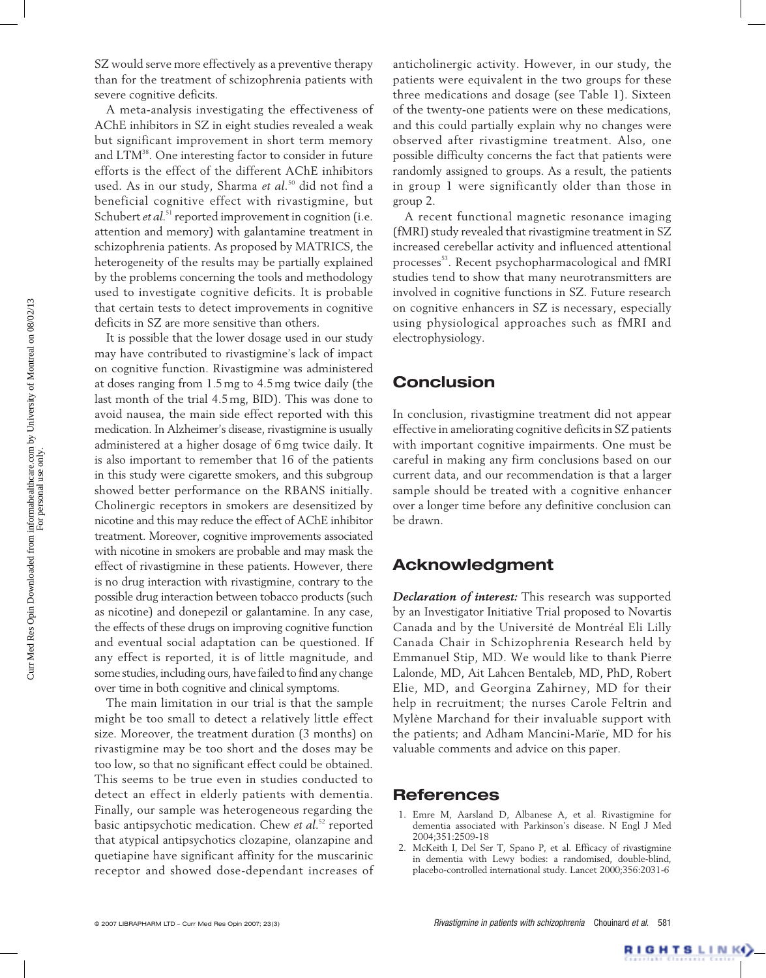SZ would serve more effectively as a preventive therapy than for the treatment of schizophrenia patients with severe cognitive deficits.

A meta-analysis investigating the effectiveness of AChE inhibitors in SZ in eight studies revealed a weak but significant improvement in short term memory and LTM<sup>38</sup>. One interesting factor to consider in future efforts is the effect of the different AChE inhibitors used. As in our study, Sharma *et al*. 50 did not find a beneficial cognitive effect with rivastigmine, but Schubert *et al.*<sup>51</sup> reported improvement in cognition (i.e. attention and memory) with galantamine treatment in schizophrenia patients. As proposed by MATRICS, the heterogeneity of the results may be partially explained by the problems concerning the tools and methodology used to investigate cognitive deficits. It is probable that certain tests to detect improvements in cognitive deficits in SZ are more sensitive than others.

It is possible that the lower dosage used in our study may have contributed to rivastigmine's lack of impact on cognitive function. Rivastigmine was administered at doses ranging from 1.5mg to 4.5mg twice daily (the last month of the trial 4.5mg, BID). This was done to avoid nausea, the main side effect reported with this medication. In Alzheimer's disease, rivastigmine is usually administered at a higher dosage of 6mg twice daily. It is also important to remember that 16 of the patients in this study were cigarette smokers, and this subgroup showed better performance on the RBANS initially. Cholinergic receptors in smokers are desensitized by nicotine and this may reduce the effect of AChE inhibitor treatment. Moreover, cognitive improvements associated with nicotine in smokers are probable and may mask the effect of rivastigmine in these patients. However, there is no drug interaction with rivastigmine, contrary to the possible drug interaction between tobacco products (such as nicotine) and donepezil or galantamine. In any case, the effects of these drugs on improving cognitive function and eventual social adaptation can be questioned. If any effect is reported, it is of little magnitude, and some studies, including ours, have failed to find any change over time in both cognitive and clinical symptoms.

The main limitation in our trial is that the sample might be too small to detect a relatively little effect size. Moreover, the treatment duration (3 months) on rivastigmine may be too short and the doses may be too low, so that no significant effect could be obtained. This seems to be true even in studies conducted to detect an effect in elderly patients with dementia. Finally, our sample was heterogeneous regarding the basic antipsychotic medication. Chew *et al*. 52 reported that atypical antipsychotics clozapine, olanzapine and quetiapine have significant affinity for the muscarinic receptor and showed dose-dependant increases of

anticholinergic activity. However, in our study, the patients were equivalent in the two groups for these three medications and dosage (see Table 1). Sixteen of the twenty-one patients were on these medications, and this could partially explain why no changes were observed after rivastigmine treatment. Also, one possible difficulty concerns the fact that patients were randomly assigned to groups. As a result, the patients in group 1 were significantly older than those in group 2.

A recent functional magnetic resonance imaging (fMRI) study revealed that rivastigmine treatment in SZ increased cerebellar activity and influenced attentional processes<sup>53</sup>. Recent psychopharmacological and fMRI studies tend to show that many neurotransmitters are involved in cognitive functions in SZ. Future research on cognitive enhancers in SZ is necessary, especially using physiological approaches such as fMRI and electrophysiology.

# **Conclusion**

In conclusion, rivastigmine treatment did not appear effective in ameliorating cognitive deficits in SZ patients with important cognitive impairments. One must be careful in making any firm conclusions based on our current data, and our recommendation is that a larger sample should be treated with a cognitive enhancer over a longer time before any definitive conclusion can be drawn.

# Acknowledgment

*Declaration of interest:* This research was supported by an Investigator Initiative Trial proposed to Novartis Canada and by the Université de Montréal Eli Lilly Canada Chair in Schizophrenia Research held by Emmanuel Stip, MD. We would like to thank Pierre Lalonde, MD, Ait Lahcen Bentaleb, MD, PhD, Robert Elie, MD, and Georgina Zahirney, MD for their help in recruitment; the nurses Carole Feltrin and Mylène Marchand for their invaluable support with the patients; and Adham Mancini-Marïe, MD for his valuable comments and advice on this paper.

## References

- 1. Emre M, Aarsland D, Albanese A, et al. Rivastigmine for dementia associated with Parkinson's disease. N Engl J Med 2004;351:2509-18
- 2. McKeith I, Del Ser T, Spano P, et al. Efficacy of rivastigmine in dementia with Lewy bodies: a randomised, double-blind, placebo-controlled international study. Lancet 2000;356:2031-6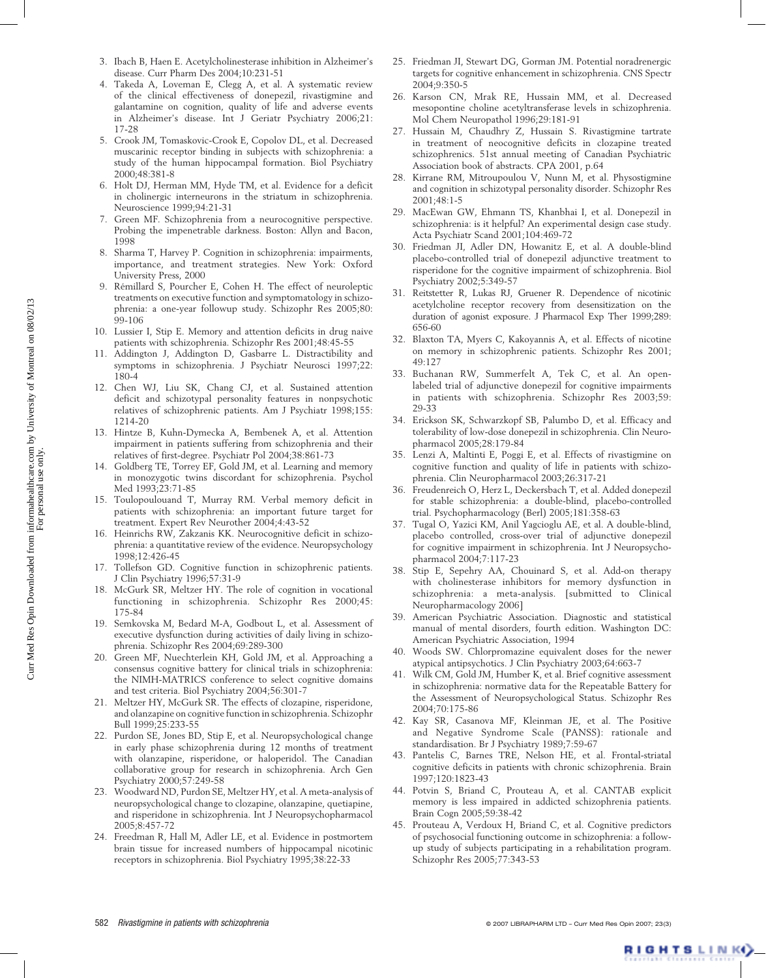- 3. Ibach B, Haen E. Acetylcholinesterase inhibition in Alzheimer's disease. Curr Pharm Des 2004;10:231-51
- 4. Takeda A, Loveman E, Clegg A, et al. A systematic review of the clinical effectiveness of donepezil, rivastigmine and galantamine on cognition, quality of life and adverse events in Alzheimer's disease. Int J Geriatr Psychiatry 2006;21: 17-28
- 5. Crook JM, Tomaskovic-Crook E, Copolov DL, et al. Decreased muscarinic receptor binding in subjects with schizophrenia: a study of the human hippocampal formation. Biol Psychiatry 2000;48:381-8
- 6. Holt DJ, Herman MM, Hyde TM, et al. Evidence for a deficit in cholinergic interneurons in the striatum in schizophrenia. Neuroscience 1999;94:21-31
- 7. Green MF. Schizophrenia from a neurocognitive perspective. Probing the impenetrable darkness. Boston: Allyn and Bacon, 1998
- 8. Sharma T, Harvey P. Cognition in schizophrenia: impairments, importance, and treatment strategies. New York: Oxford University Press, 2000
- 9. Rémillard S, Pourcher E, Cohen H. The effect of neuroleptic treatments on executive function and symptomatology in schizophrenia: a one-year followup study. Schizophr Res 2005;80: 99-106
- 10. Lussier I, Stip E. Memory and attention deficits in drug naive patients with schizophrenia. Schizophr Res 2001;48:45-55
- 11. Addington J, Addington D, Gasbarre L. Distractibility and symptoms in schizophrenia. J Psychiatr Neurosci 1997;22: 180-4
- 12. Chen WJ, Liu SK, Chang CJ, et al. Sustained attention deficit and schizotypal personality features in nonpsychotic relatives of schizophrenic patients. Am J Psychiatr 1998;155: 1214-20
- 13. Hintze B, Kuhn-Dymecka A, Bembenek A, et al. Attention impairment in patients suffering from schizophrenia and their relatives of first-degree. Psychiatr Pol 2004;38:861-73
- 14. Goldberg TE, Torrey EF, Gold JM, et al. Learning and memory in monozygotic twins discordant for schizophrenia. Psychol Med 1993;23:71-85
- 15. Toulopoulouand T, Murray RM. Verbal memory deficit in patients with schizophrenia: an important future target for treatment. Expert Rev Neurother 2004;4:43-52
- 16. Heinrichs RW, Zakzanis KK. Neurocognitive deficit in schizophrenia: a quantitative review of the evidence. Neuropsychology 1998;12:426-45
- 17. Tollefson GD. Cognitive function in schizophrenic patients. J Clin Psychiatry 1996;57:31-9
- 18. McGurk SR, Meltzer HY. The role of cognition in vocational functioning in schizophrenia. Schizophr Res 2000;45: 175-84
- 19. Semkovska M, Bedard M-A, Godbout L, et al. Assessment of executive dysfunction during activities of daily living in schizophrenia. Schizophr Res 2004;69:289-300
- 20. Green MF, Nuechterlein KH, Gold JM, et al. Approaching a consensus cognitive battery for clinical trials in schizophrenia: the NIMH-MATRICS conference to select cognitive domains and test criteria. Biol Psychiatry 2004;56:301-7
- 21. Meltzer HY, McGurk SR. The effects of clozapine, risperidone, and olanzapine on cognitive function in schizophrenia. Schizophr Bull 1999;25:233-55
- 22. Purdon SE, Jones BD, Stip E, et al. Neuropsychological change in early phase schizophrenia during 12 months of treatment with olanzapine, risperidone, or haloperidol. The Canadian collaborative group for research in schizophrenia. Arch Gen Psychiatry 2000;57:249-58
- 23. Woodward ND, Purdon SE, Meltzer HY, et al. A meta-analysis of neuropsychological change to clozapine, olanzapine, quetiapine, and risperidone in schizophrenia. Int J Neuropsychopharmacol 2005;8:457-72
- 24. Freedman R, Hall M, Adler LE, et al. Evidence in postmortem brain tissue for increased numbers of hippocampal nicotinic receptors in schizophrenia. Biol Psychiatry 1995;38:22-33
- 25. Friedman JI, Stewart DG, Gorman JM. Potential noradrenergic targets for cognitive enhancement in schizophrenia. CNS Spectr 2004;9:350-5
- 26. Karson CN, Mrak RE, Hussain MM, et al. Decreased mesopontine choline acetyltransferase levels in schizophrenia. Mol Chem Neuropathol 1996;29:181-91
- 27. Hussain M, Chaudhry Z, Hussain S. Rivastigmine tartrate in treatment of neocognitive deficits in clozapine treated schizophrenics. 51st annual meeting of Canadian Psychiatric Association book of abstracts. CPA 2001, p.64
- 28. Kirrane RM, Mitroupoulou V, Nunn M, et al. Physostigmine and cognition in schizotypal personality disorder. Schizophr Res 2001;48:1-5
- 29. MacEwan GW, Ehmann TS, Khanbhai I, et al. Donepezil in schizophrenia: is it helpful? An experimental design case study. Acta Psychiatr Scand 2001;104:469-72
- 30. Friedman JI, Adler DN, Howanitz E, et al. A double-blind placebo-controlled trial of donepezil adjunctive treatment to risperidone for the cognitive impairment of schizophrenia. Biol Psychiatry 2002;5:349-57
- 31. Reitstetter R, Lukas RJ, Gruener R. Dependence of nicotinic acetylcholine receptor recovery from desensitization on the duration of agonist exposure. J Pharmacol Exp Ther 1999;289: 656-60
- 32. Blaxton TA, Myers C, Kakoyannis A, et al. Effects of nicotine on memory in schizophrenic patients. Schizophr Res 2001; 49:127
- 33. Buchanan RW, Summerfelt A, Tek C, et al. An openlabeled trial of adjunctive donepezil for cognitive impairments in patients with schizophrenia. Schizophr Res 2003;59: 29-33
- 34. Erickson SK, Schwarzkopf SB, Palumbo D, et al. Efficacy and tolerability of low-dose donepezil in schizophrenia. Clin Neuropharmacol 2005;28:179-84
- 35. Lenzi A, Maltinti E, Poggi E, et al. Effects of rivastigmine on cognitive function and quality of life in patients with schizophrenia. Clin Neuropharmacol 2003;26:317-21
- 36. Freudenreich O, Herz L, Deckersbach T, et al. Added donepezil for stable schizophrenia: a double-blind, placebo-controlled trial. Psychopharmacology (Berl) 2005;181:358-63
- 37. Tugal O, Yazici KM, Anil Yagcioglu AE, et al. A double-blind, placebo controlled, cross-over trial of adjunctive donepezil for cognitive impairment in schizophrenia. Int J Neuropsychopharmacol 2004;7:117-23
- 38. Stip E, Sepehry AA, Chouinard S, et al. Add-on therapy with cholinesterase inhibitors for memory dysfunction in schizophrenia: a meta-analysis. [submitted to Clinical Neuropharmacology 2006]
- 39. American Psychiatric Association. Diagnostic and statistical manual of mental disorders, fourth edition. Washington DC: American Psychiatric Association, 1994
- 40. Woods SW. Chlorpromazine equivalent doses for the newer atypical antipsychotics. J Clin Psychiatry 2003;64:663-7
- 41. Wilk CM, Gold JM, Humber K, et al. Brief cognitive assessment in schizophrenia: normative data for the Repeatable Battery for the Assessment of Neuropsychological Status. Schizophr Res 2004;70:175-86
- 42. Kay SR, Casanova MF, Kleinman JE, et al. The Positive and Negative Syndrome Scale (PANSS): rationale and standardisation. Br J Psychiatry 1989;7:59-67
- 43. Pantelis C, Barnes TRE, Nelson HE, et al. Frontal-striatal cognitive deficits in patients with chronic schizophrenia. Brain 1997;120:1823-43
- 44. Potvin S, Briand C, Prouteau A, et al. CANTAB explicit memory is less impaired in addicted schizophrenia patients. Brain Cogn 2005;59:38-42
- 45. Prouteau A, Verdoux H, Briand C, et al. Cognitive predictors of psychosocial functioning outcome in schizophrenia: a followup study of subjects participating in a rehabilitation program. Schizophr Res 2005;77:343-53